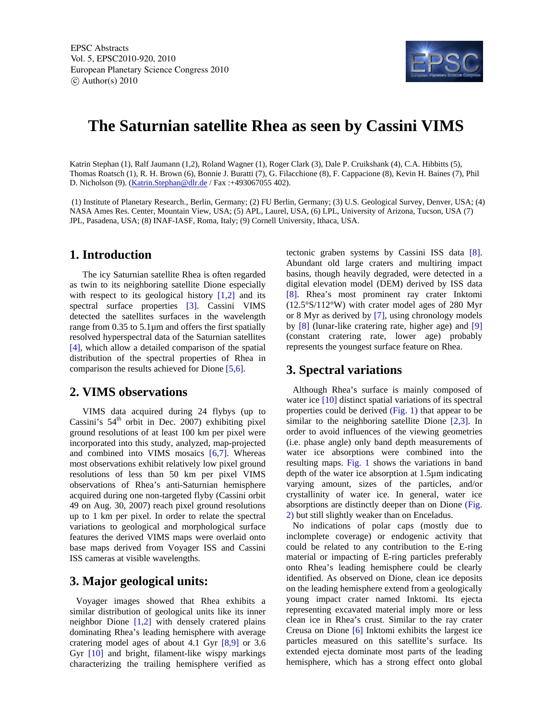

# **The Saturnian satellite Rhea as seen by Cassini VIMS**

Katrin Stephan (1), Ralf Jaumann (1,2), Roland Wagner (1), Roger Clark (3), Dale P. Cruikshank (4), C.A. Hibbitts (5), Thomas Roatsch (1), R. H. Brown (6), Bonnie J. Buratti (7), G. Filacchione (8), F. Cappacione (8), Kevin H. Baines (7), Phil D. Nicholson (9). (*Katrin.Stephan@dlr.de* / Fax :+493067055 402).

 (1) Institute of Planetary Research., Berlin, Germany; (2) FU Berlin, Germany; (3) U.S. Geological Survey, Denver, USA; (4) NASA Ames Res. Center, Mountain View, USA; (5) APL, Laurel, USA, (6) LPL, University of Arizona, Tucson, USA (7) JPL, Pasadena, USA; (8) INAF-IASF, Roma, Italy; (9) Cornell University, Ithaca, USA.

### **1. Introduction**

The icy Saturnian satellite Rhea is often regarded as twin to its neighboring satellite Dione especially with respect to its geological history  $[1,2]$  and its spectral surface properties [3]. Cassini VIMS detected the satellites surfaces in the wavelength range from 0.35 to 5.1µm and offers the first spatially resolved hyperspectral data of the Saturnian satellites [4], which allow a detailed comparison of the spatial distribution of the spectral properties of Rhea in comparison the results achieved for Dione [5,6].

## **2. VIMS observations**

VIMS data acquired during 24 flybys (up to Cassini's  $54<sup>th</sup>$  orbit in Dec. 2007) exhibiting pixel ground resolutions of at least 100 km per pixel were incorporated into this study, analyzed, map-projected and combined into VIMS mosaics [6,7]. Whereas most observations exhibit relatively low pixel ground resolutions of less than 50 km per pixel VIMS observations of Rhea's anti-Saturnian hemisphere acquired during one non-targeted flyby (Cassini orbit 49 on Aug. 30, 2007) reach pixel ground resolutions up to 1 km per pixel. In order to relate the spectral variations to geological and morphological surface features the derived VIMS maps were overlaid onto base maps derived from Voyager ISS and Cassini ISS cameras at visible wavelengths.

## **3. Major geological units:**

Voyager images showed that Rhea exhibits a similar distribution of geological units like its inner neighbor Dione [1,2] with densely cratered plains dominating Rhea's leading hemisphere with average cratering model ages of about 4.1 Gyr [8,9] or 3.6 Gyr [10] and bright, filament-like wispy markings characterizing the trailing hemisphere verified as

tectonic graben systems by Cassini ISS data [8]. Abundant old large craters and multiring impact basins, though heavily degraded, were detected in a digital elevation model (DEM) derived by ISS data [8]. Rhea's most prominent ray crater Inktomi (12.5°S/112°W) with crater model ages of 280 Myr or 8 Myr as derived by [7], using chronology models by [8] (lunar-like cratering rate, higher age) and [9] (constant cratering rate, lower age) probably represents the youngest surface feature on Rhea.

### **3. Spectral variations**

Although Rhea's surface is mainly composed of water ice [10] distinct spatial variations of its spectral properties could be derived (Fig. 1) that appear to be similar to the neighboring satellite Dione [2,3]. In order to avoid influences of the viewing geometries (i.e. phase angle) only band depth measurements of water ice absorptions were combined into the resulting maps. Fig. 1 shows the variations in band depth of the water ice absorption at 1.5µm indicating varying amount, sizes of the particles, and/or crystallinity of water ice. In general, water ice absorptions are distinctly deeper than on Dione (Fig. 2) but still slightly weaker than on Enceladus.

No indications of polar caps (mostly due to inclomplete coverage) or endogenic activity that could be related to any contribution to the E-ring material or impacting of E-ring particles preferably onto Rhea's leading hemisphere could be clearly identified. As observed on Dione, clean ice deposits on the leading hemisphere extend from a geologically young impact crater named Inktomi. Its ejecta representing excavated material imply more or less clean ice in Rhea's crust. Similar to the ray crater Creusa on Dione [6] Inktomi exhibits the largest ice particles measured on this satellite's surface. Its extended ejecta dominate most parts of the leading hemisphere, which has a strong effect onto global